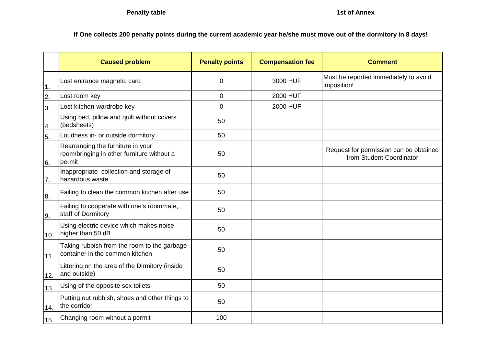**If One collects 200 penalty points during the current academic year he/she must move out of the dormitory in 8 days!**

|                  | <b>Caused problem</b>                                                                     | <b>Penalty points</b> | <b>Compensation fee</b> | <b>Comment</b>                                                     |
|------------------|-------------------------------------------------------------------------------------------|-----------------------|-------------------------|--------------------------------------------------------------------|
| 1.               | Lost entrance magnetic card                                                               | 0                     | 3000 HUF                | Must be reported immediately to avoid<br>imposition!               |
| $\overline{2}$ . | Lost room key                                                                             | 0                     | 2000 HUF                |                                                                    |
| 3.               | Lost kitchen-wardrobe key                                                                 | 0                     | 2000 HUF                |                                                                    |
| 4.               | Using bed, pillow and quilt without covers<br>(bedsheets)                                 | 50                    |                         |                                                                    |
| 5.               | Loudness in- or outside dormitory                                                         | 50                    |                         |                                                                    |
| 6.               | Rearranging the furniture in your<br>room/bringing in other furniture without a<br>permit | 50                    |                         | Request for permission can be obtained<br>from Student Coordinator |
| 7.               | Inappropriate collection and storage of<br>hazardous waste                                | 50                    |                         |                                                                    |
| 8.               | Failing to clean the common kitchen after use                                             | 50                    |                         |                                                                    |
| 9.               | Failing to cooperate with one's roommate,<br>staff of Dormitory                           | 50                    |                         |                                                                    |
| 10.              | Using electric device which makes noise<br>higher than 50 dB                              | 50                    |                         |                                                                    |
| 11.              | Taking rubbish from the room to the garbage<br>container in the common kitchen            | 50                    |                         |                                                                    |
| 12.              | Littering on the area of the Dirmitory (inside<br>and outside)                            | 50                    |                         |                                                                    |
| 13.              | Using of the opposite sex toilets                                                         | 50                    |                         |                                                                    |
| 14.              | Putting out rubbish, shoes and other things to<br>the corridor                            | 50                    |                         |                                                                    |
| 15.              | Changing room without a permit                                                            | 100                   |                         |                                                                    |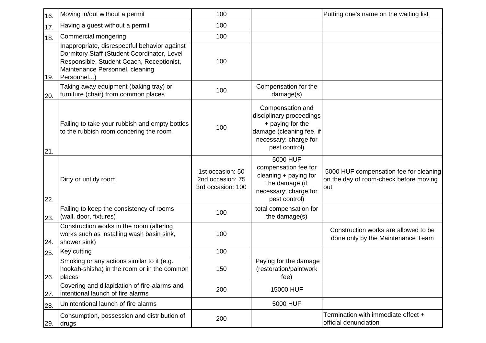| 16. | Moving in/out without a permit                                                                                                                                                             | 100                                                       |                                                                                                                                        | Putting one's name on the waiting list                                                  |
|-----|--------------------------------------------------------------------------------------------------------------------------------------------------------------------------------------------|-----------------------------------------------------------|----------------------------------------------------------------------------------------------------------------------------------------|-----------------------------------------------------------------------------------------|
| 17. | Having a guest without a permit                                                                                                                                                            | 100                                                       |                                                                                                                                        |                                                                                         |
| 18. | Commercial mongering                                                                                                                                                                       | 100                                                       |                                                                                                                                        |                                                                                         |
| 19. | Inappropriate, disrespectful behavior against<br>Dormitory Staff (Student Coordinator, Level<br>Responsible, Student Coach, Receptionist,<br>Maintenance Personnel, cleaning<br>Personnel) | 100                                                       |                                                                                                                                        |                                                                                         |
| 20. | Taking away equipment (baking tray) or<br>furniture (chair) from common places                                                                                                             | 100                                                       | Compensation for the<br>damage(s)                                                                                                      |                                                                                         |
| 21. | Failing to take your rubbish and empty bottles<br>to the rubbish room concering the room                                                                                                   | 100                                                       | Compensation and<br>disciplinary proceedings<br>+ paying for the<br>damage (cleaning fee, if<br>necessary: charge for<br>pest control) |                                                                                         |
| 22. | Dirty or untidy room                                                                                                                                                                       | 1st occasion: 50<br>2nd occasion: 75<br>3rd occasion: 100 | 5000 HUF<br>compensation fee for<br>cleaning + paying for<br>the damage (if<br>necessary: charge for<br>pest control)                  | 5000 HUF compensation fee for cleaning<br>on the day of room-check before moving<br>out |
| 23. | Failing to keep the consistency of rooms<br>(wall, door, fixtures)                                                                                                                         | 100                                                       | total compensation for<br>the damage(s)                                                                                                |                                                                                         |
| 24. | Construction works in the room (altering<br>works such as installing wash basin sink,<br>shower sink)                                                                                      | 100                                                       |                                                                                                                                        | Construction works are allowed to be<br>done only by the Maintenance Team               |
| 25. | Key cutting                                                                                                                                                                                | 100                                                       |                                                                                                                                        |                                                                                         |
| 26. | Smoking or any actions similar to it (e.g.<br>hookah-shisha) in the room or in the common<br>places                                                                                        | 150                                                       | Paying for the damage<br>(restoration/paintwork<br>fee)                                                                                |                                                                                         |
| 27. | Covering and dilapidation of fire-alarms and<br>intentional launch of fire alarms                                                                                                          | 200                                                       | 15000 HUF                                                                                                                              |                                                                                         |
| 28. | Unintentional launch of fire alarms                                                                                                                                                        |                                                           | 5000 HUF                                                                                                                               |                                                                                         |
| 29. | Consumption, possession and distribution of<br>drugs                                                                                                                                       | 200                                                       |                                                                                                                                        | Termination with immediate effect +<br>official denunciation                            |